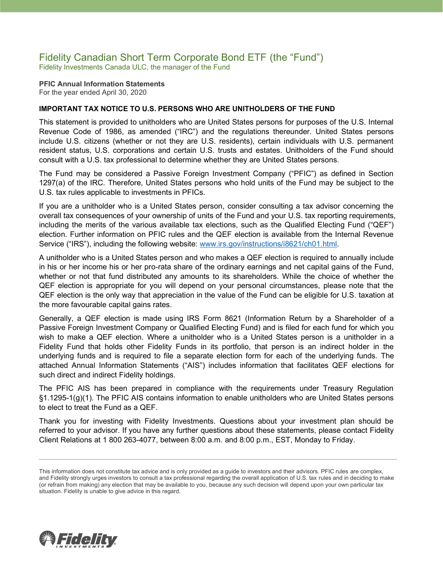## Fidelity Canadian Short Term Corporate Bond ETF (the "Fund") Fidelity Investments Canada ULC, the manager of the Fund

**PFIC Annual Information Statements** For the year ended April 30, 2020

### **IMPORTANT TAX NOTICE TO U.S. PERSONS WHO ARE UNITHOLDERS OF THE FUND**

This statement is provided to unitholders who are United States persons for purposes of the U.S. Internal Revenue Code of 1986, as amended ("IRC") and the regulations thereunder. United States persons include U.S. citizens (whether or not they are U.S. residents), certain individuals with U.S. permanent resident status, U.S. corporations and certain U.S. trusts and estates. Unitholders of the Fund should consult with a U.S. tax professional to determine whether they are United States persons.

The Fund may be considered a Passive Foreign Investment Company ("PFIC") as defined in Section 1297(a) of the IRC. Therefore, United States persons who hold units of the Fund may be subject to the U.S. tax rules applicable to investments in PFICs.

If you are a unitholder who is a United States person, consider consulting a tax advisor concerning the overall tax consequences of your ownership of units of the Fund and your U.S. tax reporting requirements, including the merits of the various available tax elections, such as the Qualified Electing Fund ("QEF") election. Further information on PFIC rules and the QEF election is available from the Internal Revenue Service ("IRS"), including the following website: [www.irs.gov/instructions/i8621/ch01.html.](http://www.irs.gov/instructions/i8621/ch01.html)

A unitholder who is a United States person and who makes a QEF election is required to annually include in his or her income his or her pro-rata share of the ordinary earnings and net capital gains of the Fund, whether or not that fund distributed any amounts to its shareholders. While the choice of whether the QEF election is appropriate for you will depend on your personal circumstances, please note that the QEF election is the only way that appreciation in the value of the Fund can be eligible for U.S. taxation at the more favourable capital gains rates.

Generally, a QEF election is made using IRS Form 8621 (Information Return by a Shareholder of a Passive Foreign Investment Company or Qualified Electing Fund) and is filed for each fund for which you wish to make a QEF election. Where a unitholder who is a United States person is a unitholder in a Fidelity Fund that holds other Fidelity Funds in its portfolio, that person is an indirect holder in the underlying funds and is required to file a separate election form for each of the underlying funds. The attached Annual Information Statements ("AIS") includes information that facilitates QEF elections for such direct and indirect Fidelity holdings.

The PFIC AIS has been prepared in compliance with the requirements under Treasury Regulation §1.1295-1(g)(1). The PFIC AIS contains information to enable unitholders who are United States persons to elect to treat the Fund as a QEF.

Thank you for investing with Fidelity Investments. Questions about your investment plan should be referred to your advisor. If you have any further questions about these statements, please contact Fidelity Client Relations at 1 800 263-4077, between 8:00 a.m. and 8:00 p.m., EST, Monday to Friday.



This information does not constitute tax advice and is only provided as a guide to investors and their advisors. PFIC rules are complex, and Fidelity strongly urges investors to consult a tax professional regarding the overall application of U.S. tax rules and in deciding to make (or refrain from making) any election that may be available to you, because any such decision will depend upon your own particular tax situation. Fidelity is unable to give advice in this regard.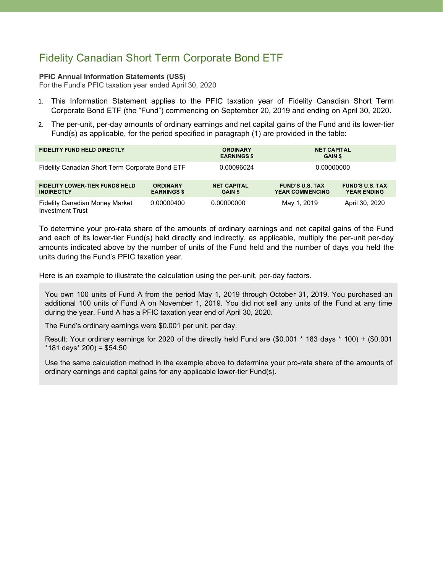# Fidelity Canadian Short Term Corporate Bond ETF

#### **PFIC Annual Information Statements (US\$)**

For the Fund's PFIC taxation year ended April 30, 2020

- 1. This Information Statement applies to the PFIC taxation year of Fidelity Canadian Short Term Corporate Bond ETF (the "Fund") commencing on September 20, 2019 and ending on April 30, 2020.
- 2. The per-unit, per-day amounts of ordinary earnings and net capital gains of the Fund and its lower-tier Fund(s) as applicable, for the period specified in paragraph (1) are provided in the table:

| <b>FIDELITY FUND HELD DIRECTLY</b>                               |                                       | <b>ORDINARY</b><br><b>EARNINGS \$</b> | <b>NET CAPITAL</b><br><b>GAIN \$</b>             |                                              |
|------------------------------------------------------------------|---------------------------------------|---------------------------------------|--------------------------------------------------|----------------------------------------------|
| Fidelity Canadian Short Term Corporate Bond ETF                  |                                       | 0.00096024                            | 0.00000000                                       |                                              |
| <b>FIDELITY LOWER-TIER FUNDS HELD</b><br><b>INDIRECTLY</b>       | <b>ORDINARY</b><br><b>EARNINGS \$</b> | <b>NET CAPITAL</b><br><b>GAIN \$</b>  | <b>FUND'S U.S. TAX</b><br><b>YEAR COMMENCING</b> | <b>FUND'S U.S. TAX</b><br><b>YEAR ENDING</b> |
| <b>Fidelity Canadian Money Market</b><br><b>Investment Trust</b> | 0.00000400                            | 0.00000000                            | May 1, 2019                                      | April 30, 2020                               |

To determine your pro-rata share of the amounts of ordinary earnings and net capital gains of the Fund and each of its lower-tier Fund(s) held directly and indirectly, as applicable, multiply the per-unit per-day amounts indicated above by the number of units of the Fund held and the number of days you held the units during the Fund's PFIC taxation year.

Here is an example to illustrate the calculation using the per-unit, per-day factors.

You own 100 units of Fund A from the period May 1, 2019 through October 31, 2019. You purchased an additional 100 units of Fund A on November 1, 2019. You did not sell any units of the Fund at any time during the year. Fund A has a PFIC taxation year end of April 30, 2020.

The Fund's ordinary earnings were \$0.001 per unit, per day.

Result: Your ordinary earnings for 2020 of the directly held Fund are (\$0.001 \* 183 days \* 100) + (\$0.001  $*181$  days $*$  200) = \$54.50

Use the same calculation method in the example above to determine your pro-rata share of the amounts of ordinary earnings and capital gains for any applicable lower-tier Fund(s).